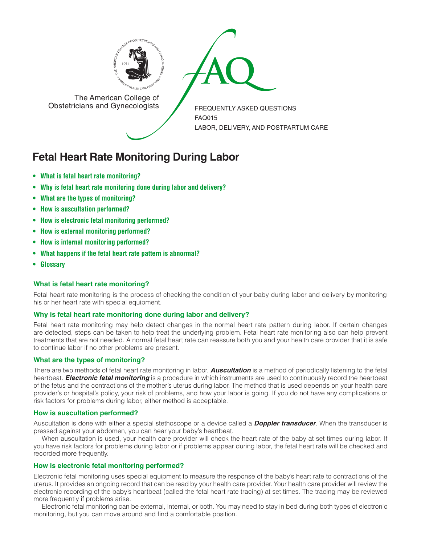



The American College of<br>Obstetricians and Gynecologists

FREQUENTLY ASKED QUESTIONS FAQ015 LABOR, DELIVERY, AND POSTPARTUM CARE

# **Fetal Heart Rate Monitoring During Labor**

- **• What is fetal heart rate [monitoring?](#page-0-0)**
- **• Why is fetal heart rate [monitoring](#page-0-1) done during labor and delivery?**
- **• What are the types of [monitoring?](#page-0-2)**
- **• How is [auscultation](#page-0-3) performed?**
- **• How is electronic fetal monitoring [performed?](#page-0-4)**
- **• How is external monitoring [performed?](#page-1-0)**
- **• How is internal monitoring [performed?](#page-1-1)**
- **• What happens if the fetal heart rate pattern is [abnormal?](#page-1-2)**
- **Glossary**

# <span id="page-0-0"></span>**What is fetal heart rate monitoring?**

Fetal heart rate monitoring is the process of checking the condition of your baby during labor and delivery by monitoring his or her heart rate with special equipment.

# <span id="page-0-1"></span>**Why is fetal heart rate monitoring done during labor and delivery?**

Fetal heart rate monitoring may help detect changes in the normal heart rate pattern during labor. If certain changes are detected, steps can be taken to help treat the underlying problem. Fetal heart rate monitoring also can help prevent treatments that are not needed. A normal fetal heart rate can reassure both you and your health care provider that it is safe to continue labor if no other problems are present.

# <span id="page-0-2"></span>**What are the types of monitoring?**

There are two methods of fetal heart rate monitoring in labor. *Auscultation* is a method of periodically listening to the fetal heartbeat. *Electronic fetal monitoring* is a procedure in which instruments are used to continuously record the heartbeat of the fetus and the contractions of the mother's uterus during labor. The method that is used depends on your health care provider's or hospital's policy, your risk of problems, and how your labor is going. If you do not have any complications or risk factors for problems during labor, either method is acceptable.

# <span id="page-0-3"></span>**How is auscultation performed?**

Auscultation is done with either a special stethoscope or a device called a *Doppler transducer*. When the transducer is pressed against your abdomen, you can hear your baby's heartbeat.

When auscultation is used, your health care provider will check the heart rate of the baby at set times during labor. If you have risk factors for problems during labor or if problems appear during labor, the fetal heart rate will be checked and recorded more frequently.

# <span id="page-0-4"></span>**How is electronic fetal monitoring performed?**

Electronic fetal monitoring uses special equipment to measure the response of the baby's heart rate to contractions of the uterus. It provides an ongoing record that can be read by your health care provider. Your health care provider will review the electronic recording of the baby's heartbeat (called the fetal heart rate tracing) at set times. The tracing may be reviewed more frequently if problems arise.

Electronic fetal monitoring can be external, internal, or both. You may need to stay in bed during both types of electronic monitoring, but you can move around and find a comfortable position.